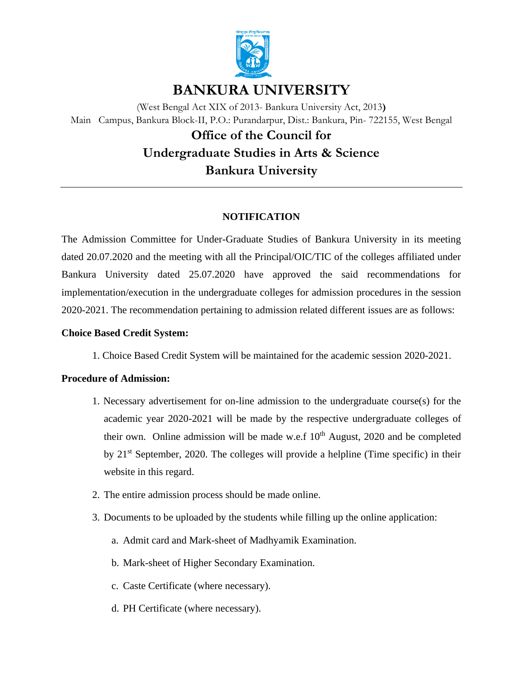

# **BANKURA UNIVERSITY**

(West Bengal Act XIX of 2013- Bankura University Act, 2013**)** Main Campus, Bankura Block-II, P.O.: Purandarpur, Dist.: Bankura, Pin- 722155, West Bengal

# **Office of the Council for Undergraduate Studies in Arts & Science Bankura University**

## **NOTIFICATION**

The Admission Committee for Under-Graduate Studies of Bankura University in its meeting dated 20.07.2020 and the meeting with all the Principal/OIC/TIC of the colleges affiliated under Bankura University dated 25.07.2020 have approved the said recommendations for implementation/execution in the undergraduate colleges for admission procedures in the session 2020-2021. The recommendation pertaining to admission related different issues are as follows:

## **Choice Based Credit System:**

1. Choice Based Credit System will be maintained for the academic session 2020-2021.

## **Procedure of Admission:**

- 1. Necessary advertisement for on-line admission to the undergraduate course(s) for the academic year 2020-2021 will be made by the respective undergraduate colleges of their own. Online admission will be made w.e.f  $10<sup>th</sup>$  August, 2020 and be completed by  $21<sup>st</sup>$  September, 2020. The colleges will provide a helpline (Time specific) in their website in this regard.
- 2. The entire admission process should be made online.
- 3. Documents to be uploaded by the students while filling up the online application:
	- a. Admit card and Mark-sheet of Madhyamik Examination.
	- b. Mark-sheet of Higher Secondary Examination.
	- c. Caste Certificate (where necessary).
	- d. PH Certificate (where necessary).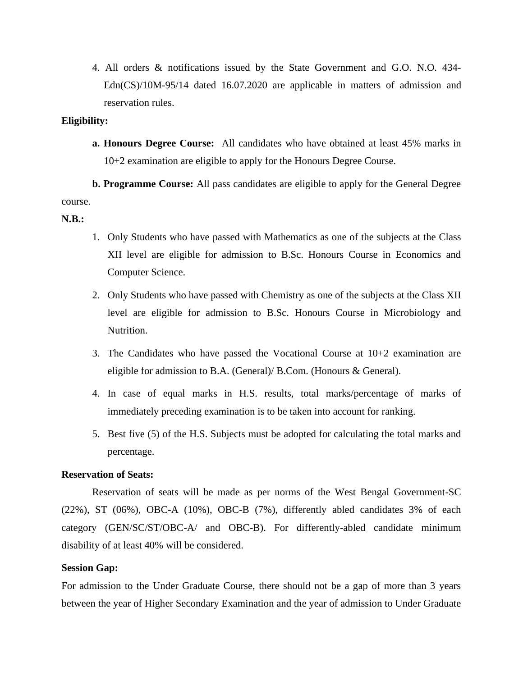4. All orders & notifications issued by the State Government and G.O. N.O. 434- Edn(CS)/10M-95/14 dated 16.07.2020 are applicable in matters of admission and reservation rules.

## **Eligibility:**

**a. Honours Degree Course:** All candidates who have obtained at least 45% marks in 10+2 examination are eligible to apply for the Honours Degree Course.

**b. Programme Course:** All pass candidates are eligible to apply for the General Degree course.

## **N.B.:**

- 1. Only Students who have passed with Mathematics as one of the subjects at the Class XII level are eligible for admission to B.Sc. Honours Course in Economics and Computer Science.
- 2. Only Students who have passed with Chemistry as one of the subjects at the Class XII level are eligible for admission to B.Sc. Honours Course in Microbiology and Nutrition.
- 3. The Candidates who have passed the Vocational Course at 10+2 examination are eligible for admission to B.A. (General)/ B.Com. (Honours & General).
- 4. In case of equal marks in H.S. results, total marks/percentage of marks of immediately preceding examination is to be taken into account for ranking.
- 5. Best five (5) of the H.S. Subjects must be adopted for calculating the total marks and percentage.

## **Reservation of Seats:**

Reservation of seats will be made as per norms of the West Bengal Government-SC (22%), ST (06%), OBC-A (10%), OBC-B (7%), differently abled candidates 3% of each category (GEN/SC/ST/OBC-A/ and OBC-B). For differently-abled candidate minimum disability of at least 40% will be considered.

## **Session Gap:**

For admission to the Under Graduate Course, there should not be a gap of more than 3 years between the year of Higher Secondary Examination and the year of admission to Under Graduate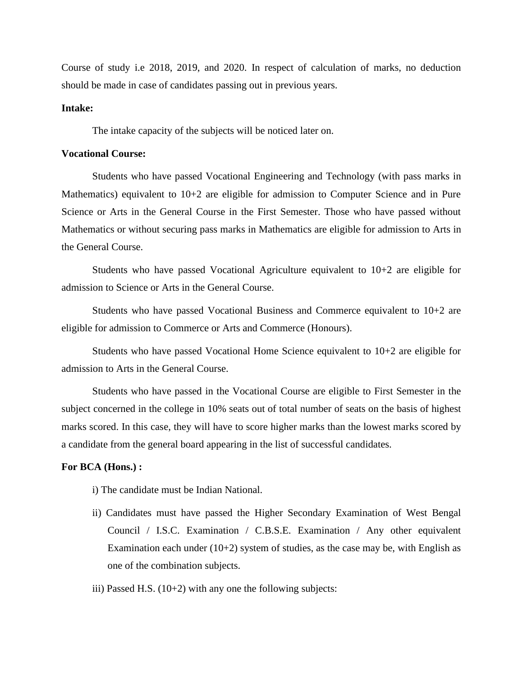Course of study i.e 2018, 2019, and 2020. In respect of calculation of marks, no deduction should be made in case of candidates passing out in previous years.

## **Intake:**

The intake capacity of the subjects will be noticed later on.

#### **Vocational Course:**

Students who have passed Vocational Engineering and Technology (with pass marks in Mathematics) equivalent to 10+2 are eligible for admission to Computer Science and in Pure Science or Arts in the General Course in the First Semester. Those who have passed without Mathematics or without securing pass marks in Mathematics are eligible for admission to Arts in the General Course.

Students who have passed Vocational Agriculture equivalent to 10+2 are eligible for admission to Science or Arts in the General Course.

Students who have passed Vocational Business and Commerce equivalent to 10+2 are eligible for admission to Commerce or Arts and Commerce (Honours).

Students who have passed Vocational Home Science equivalent to 10+2 are eligible for admission to Arts in the General Course.

Students who have passed in the Vocational Course are eligible to First Semester in the subject concerned in the college in 10% seats out of total number of seats on the basis of highest marks scored. In this case, they will have to score higher marks than the lowest marks scored by a candidate from the general board appearing in the list of successful candidates.

#### **For BCA (Hons.) :**

- i) The candidate must be Indian National.
- ii) Candidates must have passed the Higher Secondary Examination of West Bengal Council / I.S.C. Examination / C.B.S.E. Examination / Any other equivalent Examination each under  $(10+2)$  system of studies, as the case may be, with English as one of the combination subjects.
- iii) Passed H.S.  $(10+2)$  with any one the following subjects: